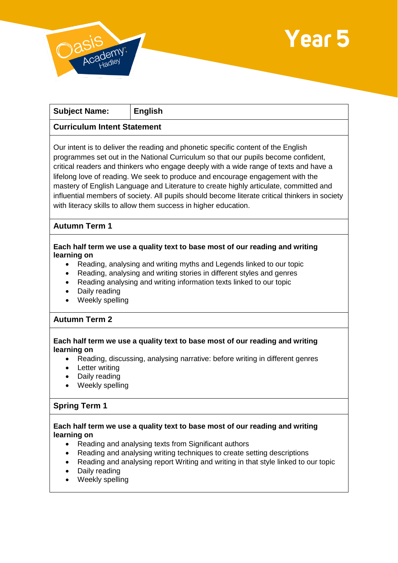



٦

| <b>Subject Name:</b>                                                | <b>English</b>                                                                                                                                                                                                                                                                                                                                                                                                                                                                                                                                                                                                   |
|---------------------------------------------------------------------|------------------------------------------------------------------------------------------------------------------------------------------------------------------------------------------------------------------------------------------------------------------------------------------------------------------------------------------------------------------------------------------------------------------------------------------------------------------------------------------------------------------------------------------------------------------------------------------------------------------|
| <b>Curriculum Intent Statement</b>                                  |                                                                                                                                                                                                                                                                                                                                                                                                                                                                                                                                                                                                                  |
|                                                                     | Our intent is to deliver the reading and phonetic specific content of the English<br>programmes set out in the National Curriculum so that our pupils become confident,<br>critical readers and thinkers who engage deeply with a wide range of texts and have a<br>lifelong love of reading. We seek to produce and encourage engagement with the<br>mastery of English Language and Literature to create highly articulate, committed and<br>influential members of society. All pupils should become literate critical thinkers in society<br>with literacy skills to allow them success in higher education. |
| <b>Autumn Term 1</b>                                                |                                                                                                                                                                                                                                                                                                                                                                                                                                                                                                                                                                                                                  |
| learning on<br>$\bullet$<br>$\bullet$<br>$\bullet$<br>Daily reading | Each half term we use a quality text to base most of our reading and writing<br>Reading, analysing and writing myths and Legends linked to our topic<br>Reading, analysing and writing stories in different styles and genres<br>Reading analysing and writing information texts linked to our topic                                                                                                                                                                                                                                                                                                             |

- Daily reading
- Weekly spelling

# **Autumn Term 2**

### **Each half term we use a quality text to base most of our reading and writing learning on**

- Reading, discussing, analysing narrative: before writing in different genres
- Letter writing
- Daily reading
- Weekly spelling

## **Spring Term 1**

#### **Each half term we use a quality text to base most of our reading and writing learning on**

- Reading and analysing texts from Significant authors
- Reading and analysing writing techniques to create setting descriptions
- Reading and analysing report Writing and writing in that style linked to our topic
- Daily reading
- Weekly spelling